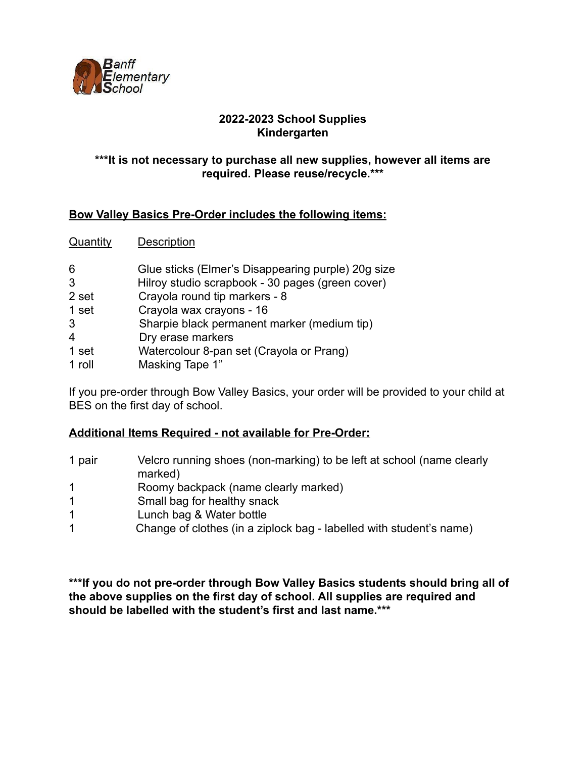

### **2022-2023 School Supplies Kindergarten**

### **\*\*\*It is not necessary to purchase all new supplies, however all items are required. Please reuse/recycle.\*\*\***

## **Bow Valley Basics Pre-Order includes the following items:**

Quantity Description

- 6 Glue sticks (Elmer's Disappearing purple) 20g size
- 3 Hilroy studio scrapbook 30 pages (green cover)
- 2 set Crayola round tip markers 8
- 1 set Crayola wax crayons 16
- 3 Sharpie black permanent marker (medium tip)
- 4 Dry erase markers
- 1 set Watercolour 8-pan set (Crayola or Prang)
- 1 roll Masking Tape 1"

If you pre-order through Bow Valley Basics, your order will be provided to your child at BES on the first day of school.

## **Additional Items Required - not available for Pre-Order:**

| 1 pair | Velcro running shoes (non-marking) to be left at school (name clearly<br>marked) |
|--------|----------------------------------------------------------------------------------|
| -1     | Roomy backpack (name clearly marked)                                             |
|        | Small bag for healthy snack                                                      |
|        | Lunch bag & Water bottle                                                         |
|        | Change of clothes (in a ziplock bag - labelled with student's name)              |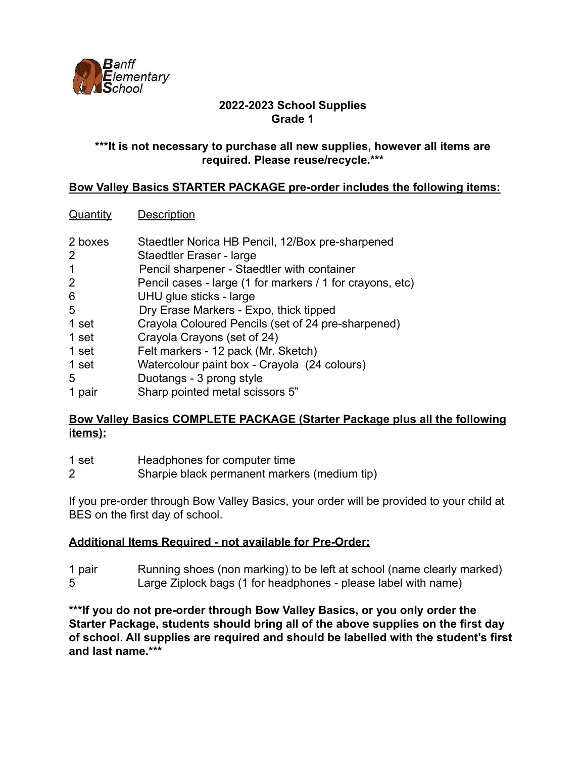

### **\*\*\*It is not necessary to purchase all new supplies, however all items are required. Please reuse/recycle.\*\*\***

### **Bow Valley Basics STARTER PACKAGE pre-order includes the following items:**

### Quantity Description

- 2 boxes Staedtler Norica HB Pencil, 12/Box pre-sharpened
- 2 Staedtler Eraser large
- 1 Pencil sharpener Staedtler with container
- 2 Pencil cases large (1 for markers / 1 for crayons, etc)
- 6 UHU glue sticks large
- 5 Dry Erase Markers Expo, thick tipped
- 1 set Crayola Coloured Pencils (set of 24 pre-sharpened)
- 1 set Crayola Crayons (set of 24)
- 1 set Felt markers 12 pack (Mr. Sketch)
- 1 set Watercolour paint box Crayola (24 colours)
- 5 Duotangs 3 prong style
- 1 pair Sharp pointed metal scissors 5"

### **Bow Valley Basics COMPLETE PACKAGE (Starter Package plus all the following items):**

- 1 set Headphones for computer time
- 2 Sharpie black permanent markers (medium tip)

If you pre-order through Bow Valley Basics, your order will be provided to your child at BES on the first day of school.

## **Additional Items Required - not available for Pre-Order:**

1 pair Running shoes (non marking) to be left at school (name clearly marked) 5 Large Ziplock bags (1 for headphones - please label with name)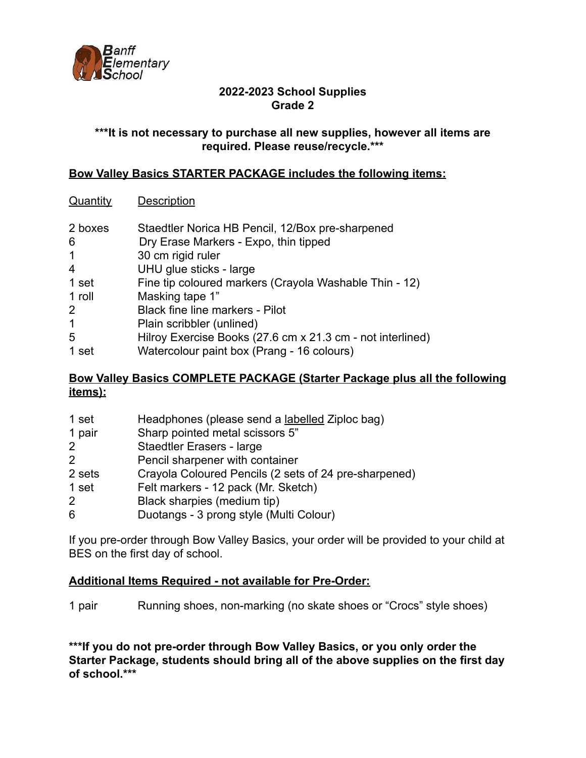

### **\*\*\*It is not necessary to purchase all new supplies, however all items are required. Please reuse/recycle.\*\*\***

### **Bow Valley Basics STARTER PACKAGE includes the following items:**

#### Quantity Description

| 2 boxes<br>6 | Staedtler Norica HB Pencil, 12/Box pre-sharpened<br>Dry Erase Markers - Expo, thin tipped |
|--------------|-------------------------------------------------------------------------------------------|
| $\mathbf 1$  | 30 cm rigid ruler                                                                         |
| 4            | UHU glue sticks - large                                                                   |
| 1 set        | Fine tip coloured markers (Crayola Washable Thin - 12)                                    |
| 1 roll       | Masking tape 1"                                                                           |
| 2            | <b>Black fine line markers - Pilot</b>                                                    |
| $\mathbf{1}$ | Plain scribbler (unlined)                                                                 |
| 5            | Hilroy Exercise Books (27.6 cm x 21.3 cm - not interlined)                                |
| 1 set        | Watercolour paint box (Prang - 16 colours)                                                |

## **Bow Valley Basics COMPLETE PACKAGE (Starter Package plus all the following items):**

| 1 set          | Headphones (please send a labelled Ziploc bag)        |
|----------------|-------------------------------------------------------|
| 1 pair         | Sharp pointed metal scissors 5"                       |
| $\overline{2}$ | <b>Staedtler Erasers - large</b>                      |
| 2              | Pencil sharpener with container                       |
| 2 sets         | Crayola Coloured Pencils (2 sets of 24 pre-sharpened) |
| 1 set          | Felt markers - 12 pack (Mr. Sketch)                   |
| $\overline{2}$ | Black sharpies (medium tip)                           |
| 6              | Duotangs - 3 prong style (Multi Colour)               |

If you pre-order through Bow Valley Basics, your order will be provided to your child at BES on the first day of school.

#### **Additional Items Required - not available for Pre-Order:**

1 pair Running shoes, non-marking (no skate shoes or "Crocs" style shoes)

**\*\*\*If you do not pre-order through Bow Valley Basics, or you only order the Starter Package, students should bring all of the above supplies on the first day of school.\*\*\***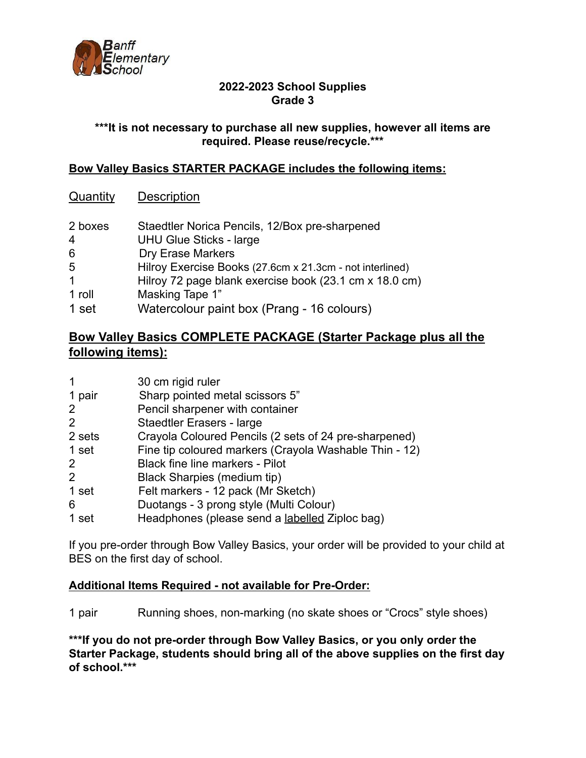

### **\*\*\*It is not necessary to purchase all new supplies, however all items are required. Please reuse/recycle.\*\*\***

### **Bow Valley Basics STARTER PACKAGE includes the following items:**

# Quantity Description

| 2 boxes     | Staedtler Norica Pencils, 12/Box pre-sharpened           |
|-------------|----------------------------------------------------------|
| 4           | <b>UHU Glue Sticks - large</b>                           |
| 6           | <b>Dry Erase Markers</b>                                 |
| 5           | Hilroy Exercise Books (27.6cm x 21.3cm - not interlined) |
| $\mathbf 1$ | Hilroy 72 page blank exercise book (23.1 cm x 18.0 cm)   |
| 1 roll      | Masking Tape 1"                                          |
| 1 set       | Watercolour paint box (Prang - 16 colours)               |

# **Bow Valley Basics COMPLETE PACKAGE (Starter Package plus all the following items):**

| $\mathbf 1$           | 30 cm rigid ruler                                      |
|-----------------------|--------------------------------------------------------|
| 1 pair                | Sharp pointed metal scissors 5"                        |
| $\mathbf{2}^{\prime}$ | Pencil sharpener with container                        |
| $\overline{2}$        | <b>Staedtler Erasers - large</b>                       |
| 2 sets                | Crayola Coloured Pencils (2 sets of 24 pre-sharpened)  |
| 1 set                 | Fine tip coloured markers (Crayola Washable Thin - 12) |
| $\overline{2}$        | <b>Black fine line markers - Pilot</b>                 |
| $\overline{2}$        | Black Sharpies (medium tip)                            |
| 1 set                 | Felt markers - 12 pack (Mr Sketch)                     |
| 6                     | Duotangs - 3 prong style (Multi Colour)                |
| 1 set                 | Headphones (please send a labelled Ziploc bag)         |

If you pre-order through Bow Valley Basics, your order will be provided to your child at BES on the first day of school.

## **Additional Items Required - not available for Pre-Order:**

1 pair Running shoes, non-marking (no skate shoes or "Crocs" style shoes)

**\*\*\*If you do not pre-order through Bow Valley Basics, or you only order the Starter Package, students should bring all of the above supplies on the first day of school.\*\*\***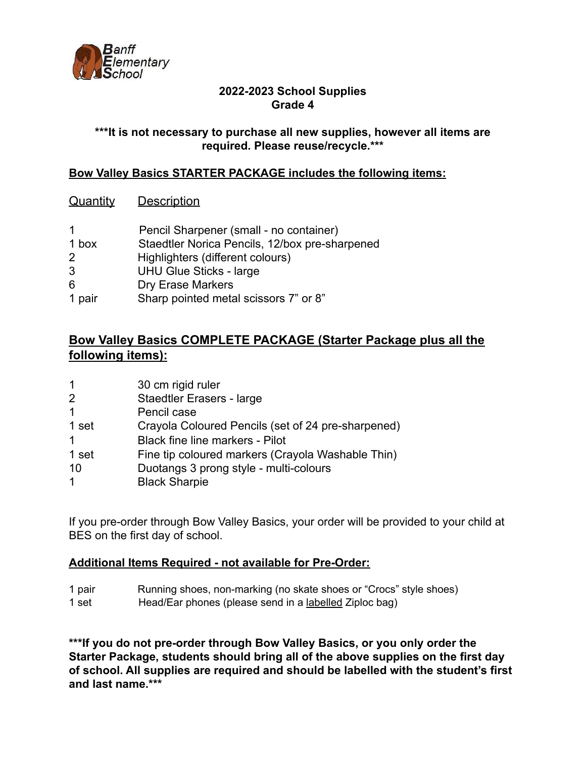

### **\*\*\*It is not necessary to purchase all new supplies, however all items are required. Please reuse/recycle.\*\*\***

### **Bow Valley Basics STARTER PACKAGE includes the following items:**

### Quantity Description

| $\mathbf 1$ | Pencil Sharpener (small - no container)        |
|-------------|------------------------------------------------|
| 1 box       | Staedtler Norica Pencils, 12/box pre-sharpened |
| 2           | Highlighters (different colours)               |
| 3           | <b>UHU Glue Sticks - large</b>                 |
| 6           | <b>Dry Erase Markers</b>                       |
| 1 pair      | Sharp pointed metal scissors 7" or 8"          |

# **Bow Valley Basics COMPLETE PACKAGE (Starter Package plus all the following items):**

| $\mathbf{1}$ | 30 cm rigid ruler                                  |
|--------------|----------------------------------------------------|
| 2            | Staedtler Erasers - large                          |
| $\mathbf 1$  | Pencil case                                        |
| 1 set        | Crayola Coloured Pencils (set of 24 pre-sharpened) |
| $\mathbf 1$  | <b>Black fine line markers - Pilot</b>             |
| 1 set        | Fine tip coloured markers (Crayola Washable Thin)  |
| 10           | Duotangs 3 prong style - multi-colours             |
| $\mathbf 1$  | <b>Black Sharpie</b>                               |

If you pre-order through Bow Valley Basics, your order will be provided to your child at BES on the first day of school.

#### **Additional Items Required - not available for Pre-Order:**

- 1 pair Running shoes, non-marking (no skate shoes or "Crocs" style shoes)
- 1 set Head/Ear phones (please send in a labelled Ziploc bag)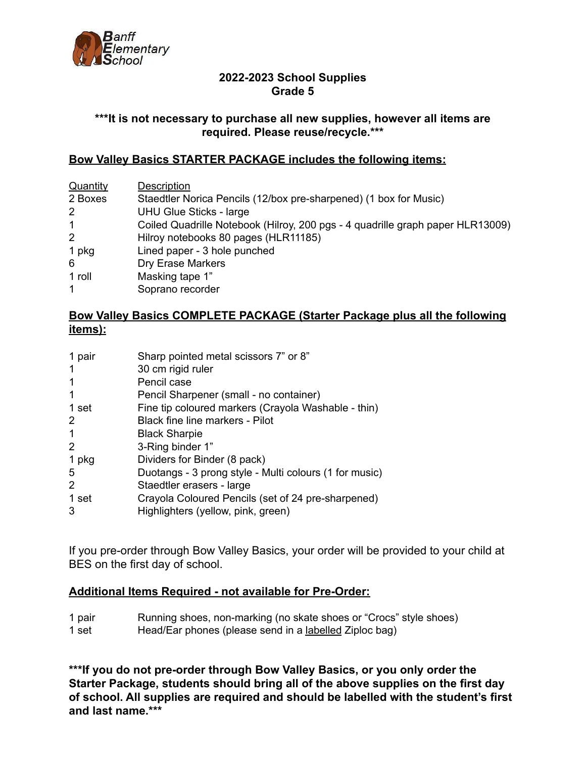

#### **\*\*\*It is not necessary to purchase all new supplies, however all items are required. Please reuse/recycle.\*\*\***

#### **Bow Valley Basics STARTER PACKAGE includes the following items:**

| Quantity     | Description                                                                    |
|--------------|--------------------------------------------------------------------------------|
| 2 Boxes      | Staedtler Norica Pencils (12/box pre-sharpened) (1 box for Music)              |
| 2            | <b>UHU Glue Sticks - large</b>                                                 |
| $\mathbf 1$  | Coiled Quadrille Notebook (Hilroy, 200 pgs - 4 quadrille graph paper HLR13009) |
| 2            | Hilroy notebooks 80 pages (HLR11185)                                           |
| 1 pkg        | Lined paper - 3 hole punched                                                   |
| 6            | Dry Erase Markers                                                              |
| 1 roll       | Masking tape 1"                                                                |
| $\mathbf{1}$ | Soprano recorder                                                               |

### **Bow Valley Basics COMPLETE PACKAGE (Starter Package plus all the following items):**

| 1 pair | Sharp pointed metal scissors 7" or 8"                  |
|--------|--------------------------------------------------------|
| 1      | 30 cm rigid ruler                                      |
| 1      | Pencil case                                            |
| 1      | Pencil Sharpener (small - no container)                |
| 1 set  | Fine tip coloured markers (Crayola Washable - thin)    |
| 2      | Black fine line markers - Pilot                        |
| 1      | <b>Black Sharpie</b>                                   |
| 2      | 3-Ring binder 1"                                       |
| 1 pkg  | Dividers for Binder (8 pack)                           |
| 5      | Duotangs - 3 prong style - Multi colours (1 for music) |
| 2      | Staedtler erasers - large                              |
| 1 set  | Crayola Coloured Pencils (set of 24 pre-sharpened)     |
| 3      | Highlighters (yellow, pink, green)                     |

If you pre-order through Bow Valley Basics, your order will be provided to your child at BES on the first day of school.

#### **Additional Items Required - not available for Pre-Order:**

- 1 pair Running shoes, non-marking (no skate shoes or "Crocs" style shoes)
- 1 set Head/Ear phones (please send in a labelled Ziploc bag)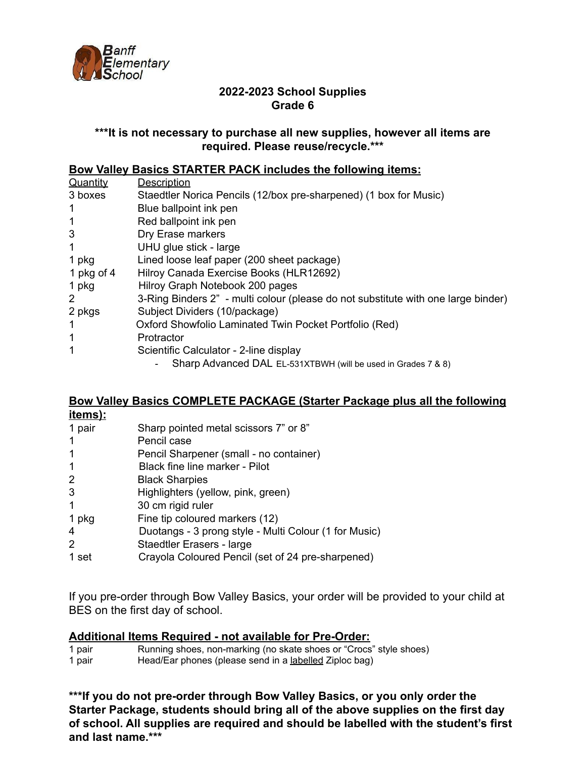

### **\*\*\*It is not necessary to purchase all new supplies, however all items are required. Please reuse/recycle.\*\*\***

### **Bow Valley Basics STARTER PACK includes the following items:**

| Quantity   | Description                                                                       |
|------------|-----------------------------------------------------------------------------------|
| 3 boxes    | Staedtler Norica Pencils (12/box pre-sharpened) (1 box for Music)                 |
| 1          | Blue ballpoint ink pen                                                            |
| 1          | Red ballpoint ink pen                                                             |
| 3          | Dry Erase markers                                                                 |
| 1          | UHU glue stick - large                                                            |
| 1 pkg      | Lined loose leaf paper (200 sheet package)                                        |
| 1 pkg of 4 | Hilroy Canada Exercise Books (HLR12692)                                           |
| 1 pkg      | Hilroy Graph Notebook 200 pages                                                   |
| 2          | 3-Ring Binders 2" - multi colour (please do not substitute with one large binder) |
| 2 pkgs     | Subject Dividers (10/package)                                                     |
|            | Oxford Showfolio Laminated Twin Pocket Portfolio (Red)                            |
| 1          | Protractor                                                                        |
| 1          | Scientific Calculator - 2-line display                                            |
|            | Sharp Advanced DAL EL-531XTBWH (will be used in Grades 7 & 8)                     |

#### **Bow Valley Basics COMPLETE PACKAGE (Starter Package plus all the following items):**

| <u>ішнізі.</u> |                                                       |
|----------------|-------------------------------------------------------|
| 1 pair         | Sharp pointed metal scissors 7" or 8"                 |
| $\mathbf 1$    | Pencil case                                           |
| 1              | Pencil Sharpener (small - no container)               |
| $\mathbf 1$    | Black fine line marker - Pilot                        |
| $\overline{2}$ | <b>Black Sharpies</b>                                 |
| 3              | Highlighters (yellow, pink, green)                    |
| $\mathbf 1$    | 30 cm rigid ruler                                     |
| 1 pkg          | Fine tip coloured markers (12)                        |
| 4              | Duotangs - 3 prong style - Multi Colour (1 for Music) |
| 2              | Staedtler Erasers - large                             |
| 1 set          | Crayola Coloured Pencil (set of 24 pre-sharpened)     |

If you pre-order through Bow Valley Basics, your order will be provided to your child at BES on the first day of school.

#### **Additional Items Required - not available for Pre-Order:**

| 1 pair | Running shoes, non-marking (no skate shoes or "Crocs" style shoes) |
|--------|--------------------------------------------------------------------|
| 1 pair | Head/Ear phones (please send in a labelled Ziploc bag)             |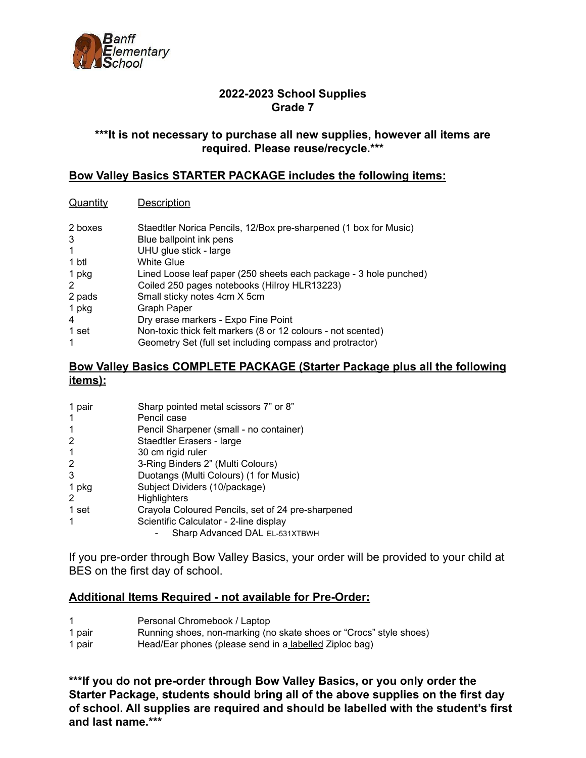

#### **\*\*\*It is not necessary to purchase all new supplies, however all items are required. Please reuse/recycle.\*\*\***

### **Bow Valley Basics STARTER PACKAGE includes the following items:**

#### Quantity Description

| 2 boxes<br>3 | Staedtler Norica Pencils, 12/Box pre-sharpened (1 box for Music)<br>Blue ballpoint ink pens |
|--------------|---------------------------------------------------------------------------------------------|
| 1            | UHU glue stick - large                                                                      |
| 1 btl        | White Glue                                                                                  |
| 1 pkg        | Lined Loose leaf paper (250 sheets each package - 3 hole punched)                           |
| 2            | Coiled 250 pages notebooks (Hilroy HLR13223)                                                |
| 2 pads       | Small sticky notes 4cm X 5cm                                                                |
| 1 pkg        | Graph Paper                                                                                 |
| 4            | Dry erase markers - Expo Fine Point                                                         |
| 1 set        | Non-toxic thick felt markers (8 or 12 colours - not scented)                                |
| -1           | Geometry Set (full set including compass and protractor)                                    |

### **Bow Valley Basics COMPLETE PACKAGE (Starter Package plus all the following items):**

| 1 pair | Sharp pointed metal scissors 7" or 8"             |
|--------|---------------------------------------------------|
|        | Pencil case                                       |
| -1     | Pencil Sharpener (small - no container)           |
| 2      | Staedtler Erasers - large                         |
| -1     | 30 cm rigid ruler                                 |
| 2      | 3-Ring Binders 2" (Multi Colours)                 |
| 3      | Duotangs (Multi Colours) (1 for Music)            |
| 1 pkg  | Subject Dividers (10/package)                     |
| 2      | <b>Highlighters</b>                               |
| 1 set  | Crayola Coloured Pencils, set of 24 pre-sharpened |
|        | Scientific Calculator - 2-line display            |
|        | Sharp Advanced DAL EL-531XTBWH                    |

If you pre-order through Bow Valley Basics, your order will be provided to your child at BES on the first day of school.

#### **Additional Items Required - not available for Pre-Order:**

- Personal Chromebook / Laptop
- pair Running shoes, non-marking (no skate shoes or "Crocs" style shoes)
- pair Head/Ear phones (please send in a labelled Ziploc bag)